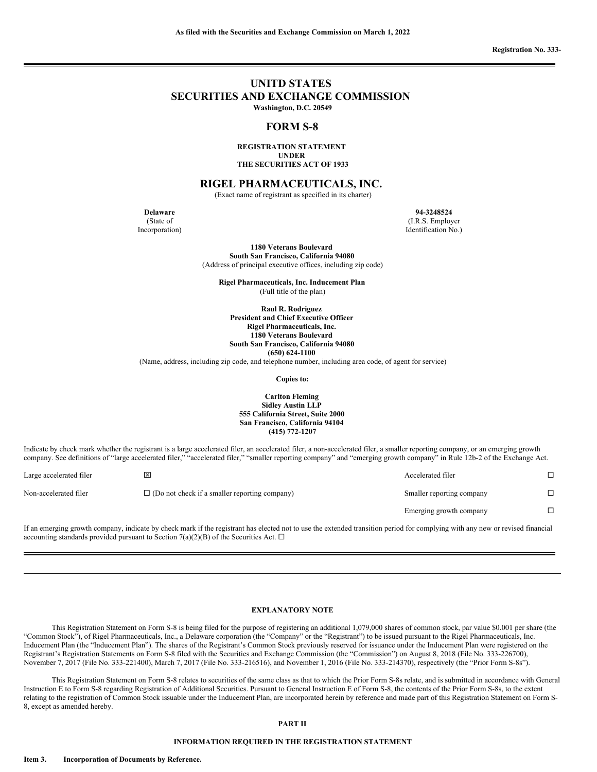**Registration No. 333-**

# **UNITD STATES SECURITIES AND EXCHANGE COMMISSION Washington, D.C. 20549**

### **FORM S-8**

**REGISTRATION STATEMENT UNDER THE SECURITIES ACT OF 1933**

**RIGEL PHARMACEUTICALS, INC.**

(Exact name of registrant as specified in its charter)

**Delaware 94-3248524** (State of Incorporation)

(I.R.S. Employer Identification No.)

**1180 Veterans Boulevard South San Francisco, California 94080**

(Address of principal executive offices, including zip code)

**Rigel Pharmaceuticals, Inc. Inducement Plan** (Full title of the plan)

**Raul R. Rodriguez President and Chief Executive Officer Rigel Pharmaceuticals, Inc. 1180 Veterans Boulevard South San Francisco, California 94080 (650) 624-1100**

(Name, address, including zip code, and telephone number, including area code, of agent for service)

**Copies to:**

**Carlton Fleming Sidley Austin LLP 555 California Street, Suite 2000 San Francisco, California 94104 (415) 772-1207**

Indicate by check mark whether the registrant is a large accelerated filer, an accelerated filer, a non-accelerated filer, a smaller reporting company, or an emerging growth company. See definitions of "large accelerated filer," "accelerated filer," "smaller reporting company" and "emerging growth company" in Rule 12b-2 of the Exchange Act.

| Large accelerated filer | $\mathsf{x}$                                         | Accelerated filer         |  |
|-------------------------|------------------------------------------------------|---------------------------|--|
| Non-accelerated filer   | $\Box$ (Do not check if a smaller reporting company) | Smaller reporting company |  |
|                         |                                                      | Emerging growth company   |  |

If an emerging growth company, indicate by check mark if the registrant has elected not to use the extended transition period for complying with any new or revised financial accounting standards provided pursuant to Section 7(a)(2)(B) of the Securities Act.  $\Box$ 

#### **EXPLANATORY NOTE**

This Registration Statement on Form S-8 is being filed for the purpose of registering an additional 1,079,000 shares of common stock, par value \$0.001 per share (the "Common Stock"), of Rigel Pharmaceuticals, Inc., a Delaware corporation (the "Company" or the "Registrant") to be issued pursuant to the Rigel Pharmaceuticals, Inc. Inducement Plan (the "Inducement Plan"). The shares of the Registrant's Common Stock previously reserved for issuance under the Inducement Plan were registered on the Registrant's Registration Statements on Form S-8 filed with the Securities and Exchange Commission (the "Commission") on August 8, 2018 (File No. 333-226700), November 7, 2017 (File No. 333-221400), March 7, 2017 (File No. 333-216516), and November 1, 2016 (File No. 333-214370), respectively (the "Prior Form S-8s").

This Registration Statement on Form S-8 relates to securities of the same class as that to which the Prior Form S-8s relate, and is submitted in accordance with General Instruction E to Form S-8 regarding Registration of Additional Securities. Pursuant to General Instruction E of Form S-8, the contents of the Prior Form S-8s, to the extent relating to the registration of Common Stock issuable under the Inducement Plan, are incorporated herein by reference and made part of this Registration Statement on Form S-8, except as amended hereby.

#### **PART II**

#### **INFORMATION REQUIRED IN THE REGISTRATION STATEMENT**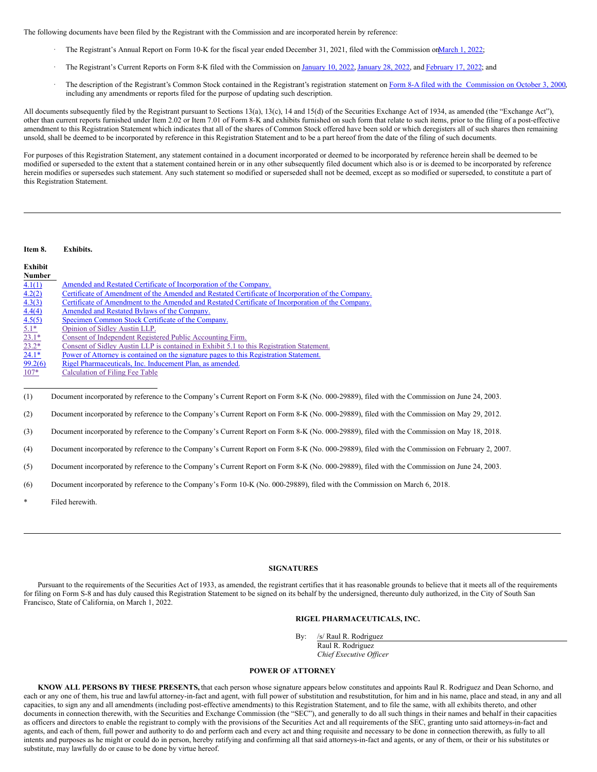The following documents have been filed by the Registrant with the Commission and are incorporated herein by reference:

- The Registrant's Annual Report on Form 10-K for the fiscal year ended December 31, 2021, filed with the Commission on March 1, 2022;
- The Registrant's Current Reports on Form 8-K filed with the Commission on [January](http://www.sec.gov/ix?doc=/Archives/edgar/data/1034842/000110465922008984/tm224738d1_8k.htm) 10, 2022, January 28, 2022, and [February](http://www.sec.gov/ix?doc=/Archives/edgar/data/1034842/000110465922024757/tm227003d1_8k.htm) 17, 2022; and
- The description of the Registrant's Common Stock contained in the Registrant's registration statement on Form 8-A filed with the [Commission](http://www.sec.gov/Archives/edgar/data/1034842/000091205700043550/0000912057-00-043550-index.htm) on October 3, 2000, including any amendments or reports filed for the purpose of updating such description.

All documents subsequently filed by the Registrant pursuant to Sections 13(a), 13(c), 14 and 15(d) of the Securities Exchange Act of 1934, as amended (the "Exchange Act"), other than current reports furnished under Item 2.02 or Item 7.01 of Form 8-K and exhibits furnished on such form that relate to such items, prior to the filing of a post-effective amendment to this Registration Statement which indicates that all of the shares of Common Stock offered have been sold or which deregisters all of such shares then remaining unsold, shall be deemed to be incorporated by reference in this Registration Statement and to be a part hereof from the date of the filing of such documents.

For purposes of this Registration Statement, any statement contained in a document incorporated or deemed to be incorporated by reference herein shall be deemed to be modified or superseded to the extent that a statement contained herein or in any other subsequently filed document which also is or is deemed to be incorporated by reference herein modifies or supersedes such statement. Any such statement so modified or superseded shall not be deemed, except as so modified or superseded, to constitute a part of this Registration Statement.

#### **Item 8. Exhibits.**

| Exhibit                 |                                                                                                   |
|-------------------------|---------------------------------------------------------------------------------------------------|
| <b>Number</b>           |                                                                                                   |
| 4.1(1)                  | Amended and Restated Certificate of Incorporation of the Company.                                 |
| 4.2(2)                  | Certificate of Amendment of the Amended and Restated Certificate of Incorporation of the Company. |
| 4.3(3)                  | Certificate of Amendment to the Amended and Restated Certificate of Incorporation of the Company. |
| 4.4(4)                  | Amended and Restated Bylaws of the Company.                                                       |
| 4.5(5)                  | Specimen Common Stock Certificate of the Company.                                                 |
| $5.1*$                  | Opinion of Sidley Austin LLP.                                                                     |
| $\frac{23.1^*}{23.2^*}$ | Consent of Independent Registered Public Accounting Firm.                                         |
|                         | Consent of Sidley Austin LLP is contained in Exhibit 5.1 to this Registration Statement.          |
| $24.1*$                 | Power of Attorney is contained on the signature pages to this Registration Statement.             |
| 99.2(6)                 | Rigel Pharmaceuticals, Inc. Inducement Plan, as amended.                                          |
| $107*$                  | Calculation of Filing Fee Table                                                                   |

(1) Document incorporated by reference to the Company's Current Report on Form 8-K (No. 000-29889), filed with the Commission on June 24, 2003.

(2) Document incorporated by reference to the Company's Current Report on Form 8-K (No. 000-29889), filed with the Commission on May 29, 2012.

(3) Document incorporated by reference to the Company's Current Report on Form 8-K (No. 000-29889), filed with the Commission on May 18, 2018.

(4) Document incorporated by reference to the Company's Current Report on Form 8-K (No. 000-29889), filed with the Commission on February 2, 2007.

(5) Document incorporated by reference to the Company's Current Report on Form 8-K (No. 000-29889), filed with the Commission on June 24, 2003.

(6) Document incorporated by reference to the Company's Form 10-K (No. 000-29889), filed with the Commission on March 6, 2018.

Filed herewith.

#### <span id="page-1-0"></span>**SIGNATURES**

Pursuant to the requirements of the Securities Act of 1933, as amended, the registrant certifies that it has reasonable grounds to believe that it meets all of the requirements for filing on Form S-8 and has duly caused this Registration Statement to be signed on its behalf by the undersigned, thereunto duly authorized, in the City of South San Francisco, State of California, on March 1, 2022.

### **RIGEL PHARMACEUTICALS, INC.**

By: /s/ Raul R. Rodriguez

Raul R. Rodriguez *Chief Executive Of icer*

#### **POWER OF ATTORNEY**

**KNOW ALL PERSONS BY THESE PRESENTS,** that each person whose signature appears below constitutes and appoints Raul R. Rodriguez and Dean Schorno, and each or any one of them, his true and lawful attorney-in-fact and agent, with full power of substitution and resubstitution, for him and in his name, place and stead, in any and all capacities, to sign any and all amendments (including post-effective amendments) to this Registration Statement, and to file the same, with all exhibits thereto, and other documents in connection therewith, with the Securities and Exchange Commission (the "SEC"), and generally to do all such things in their names and behalf in their capacities as officers and directors to enable the registrant to comply with the provisions of the Securities Act and all requirements of the SEC, granting unto said attorneys-in-fact and agents, and each of them, full power and authority to do and perform each and every act and thing requisite and necessary to be done in connection therewith, as fully to all intents and purposes as he might or could do in person, hereby ratifying and confirming all that said attorneys-in-fact and agents, or any of them, or their or his substitutes or substitute, may lawfully do or cause to be done by virtue hereof.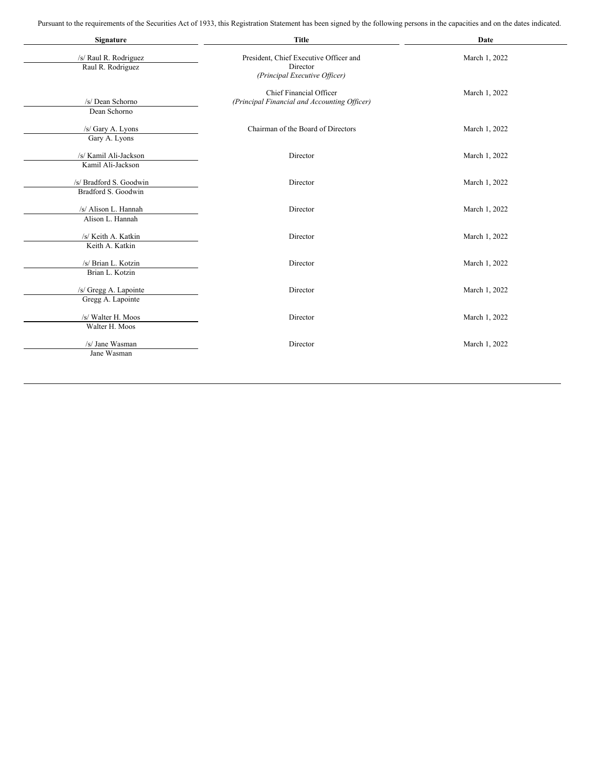Pursuant to the requirements of the Securities Act of 1933, this Registration Statement has been signed by the following persons in the capacities and on the dates indicated.

| Signature                                      | <b>Title</b>                                                                        | Date          |  |  |
|------------------------------------------------|-------------------------------------------------------------------------------------|---------------|--|--|
| /s/ Raul R. Rodriguez<br>Raul R. Rodriguez     | President, Chief Executive Officer and<br>Director<br>(Principal Executive Officer) | March 1, 2022 |  |  |
| /s/ Dean Schorno<br>Dean Schorno               | <b>Chief Financial Officer</b><br>(Principal Financial and Accounting Officer)      | March 1, 2022 |  |  |
| /s/ Gary A. Lyons<br>Gary A. Lyons             | Chairman of the Board of Directors                                                  | March 1, 2022 |  |  |
| /s/ Kamil Ali-Jackson<br>Kamil Ali-Jackson     | Director                                                                            | March 1, 2022 |  |  |
| /s/ Bradford S. Goodwin<br>Bradford S. Goodwin | Director                                                                            | March 1, 2022 |  |  |
| /s/ Alison L. Hannah<br>Alison L. Hannah       | Director                                                                            | March 1, 2022 |  |  |
| /s/ Keith A. Katkin<br>Keith A. Katkin         | Director                                                                            | March 1, 2022 |  |  |
| /s/ Brian L. Kotzin<br>Brian L. Kotzin         | Director                                                                            | March 1, 2022 |  |  |
| /s/ Gregg A. Lapointe<br>Gregg A. Lapointe     | Director                                                                            | March 1, 2022 |  |  |
| /s/ Walter H. Moos<br>Walter H. Moos           | Director                                                                            | March 1, 2022 |  |  |
| /s/ Jane Wasman<br>Jane Wasman                 | Director                                                                            | March 1, 2022 |  |  |
|                                                |                                                                                     |               |  |  |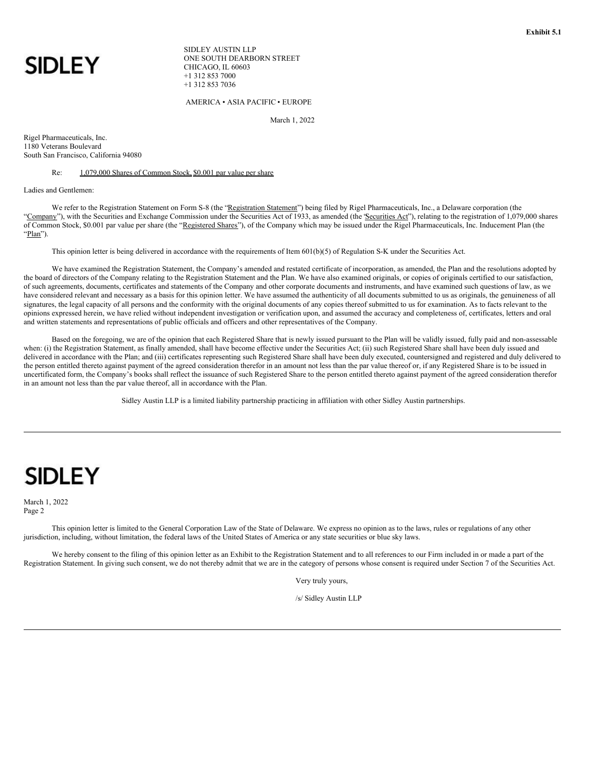<span id="page-3-0"></span>

SIDLEY AUSTIN LLP ONE SOUTH DEARBORN STREET CHICAGO, IL 60603 +1 312 853 7000 +1 312 853 7036

AMERICA • ASIA PACIFIC • EUROPE

March 1, 2022

Rigel Pharmaceuticals, Inc. 1180 Veterans Boulevard South San Francisco, California 94080

#### Re: 1,079,000 Shares of Common Stock, \$0.001 par value per share

Ladies and Gentlemen:

We refer to the Registration Statement on Form S-8 (the "Registration Statement") being filed by Rigel Pharmaceuticals, Inc., a Delaware corporation (the "Company"), with the Securities and Exchange Commission under the Securities Act of 1933, as amended (the "Securities Act"), relating to the registration of 1,079,000 shares of Common Stock, \$0.001 par value per share (the "Registered Shares"), of the Company which may be issued under the Rigel Pharmaceuticals, Inc. Inducement Plan (the "Plan").

This opinion letter is being delivered in accordance with the requirements of Item 601(b)(5) of Regulation S-K under the Securities Act.

We have examined the Registration Statement, the Company's amended and restated certificate of incorporation, as amended, the Plan and the resolutions adopted by the board of directors of the Company relating to the Registration Statement and the Plan. We have also examined originals, or copies of originals certified to our satisfaction, of such agreements, documents, certificates and statements of the Company and other corporate documents and instruments, and have examined such questions of law, as we have considered relevant and necessary as a basis for this opinion letter. We have assumed the authenticity of all documents submitted to us as originals, the genuineness of all signatures, the legal capacity of all persons and the conformity with the original documents of any copies thereof submitted to us for examination. As to facts relevant to the opinions expressed herein, we have relied without independent investigation or verification upon, and assumed the accuracy and completeness of, certificates, letters and oral and written statements and representations of public officials and officers and other representatives of the Company.

Based on the foregoing, we are of the opinion that each Registered Share that is newly issued pursuant to the Plan will be validly issued, fully paid and non-assessable when: (i) the Registration Statement, as finally amended, shall have become effective under the Securities Act; (ii) such Registered Share shall have been duly issued and delivered in accordance with the Plan; and (iii) certificates representing such Registered Share shall have been duly executed, countersigned and registered and duly delivered to the person entitled thereto against payment of the agreed consideration therefor in an amount not less than the par value thereof or, if any Registered Share is to be issued in uncertificated form, the Company's books shall reflect the issuance of such Registered Share to the person entitled thereto against payment of the agreed consideration therefor in an amount not less than the par value thereof, all in accordance with the Plan.

Sidley Austin LLP is a limited liability partnership practicing in affiliation with other Sidley Austin partnerships.

# **SIDLEY**

March 1, 2022 Page 2

This opinion letter is limited to the General Corporation Law of the State of Delaware. We express no opinion as to the laws, rules or regulations of any other jurisdiction, including, without limitation, the federal laws of the United States of America or any state securities or blue sky laws.

We hereby consent to the filing of this opinion letter as an Exhibit to the Registration Statement and to all references to our Firm included in or made a part of the Registration Statement. In giving such consent, we do not thereby admit that we are in the category of persons whose consent is required under Section 7 of the Securities Act.

Very truly yours,

/s/ Sidley Austin LLP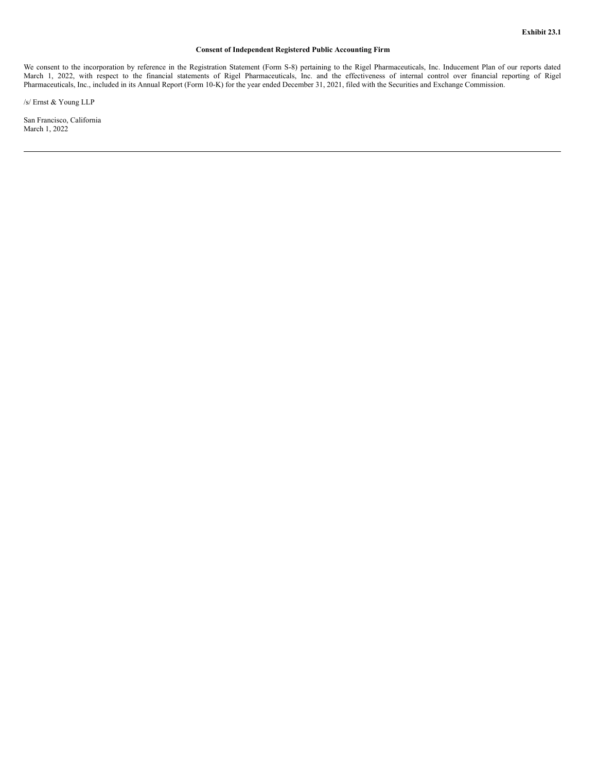# **Consent of Independent Registered Public Accounting Firm**

<span id="page-4-0"></span>We consent to the incorporation by reference in the Registration Statement (Form S-8) pertaining to the Rigel Pharmaceuticals, Inc. Inducement Plan of our reports dated March 1, 2022, with respect to the financial statements of Rigel Pharmaceuticals, Inc. and the effectiveness of internal control over financial reporting of Rigel Pharmaceuticals, Inc., included in its Annual Report (Form 10-K) for the year ended December 31, 2021, filed with the Securities and Exchange Commission.

/s/ Ernst & Young LLP

San Francisco, California March 1, 2022